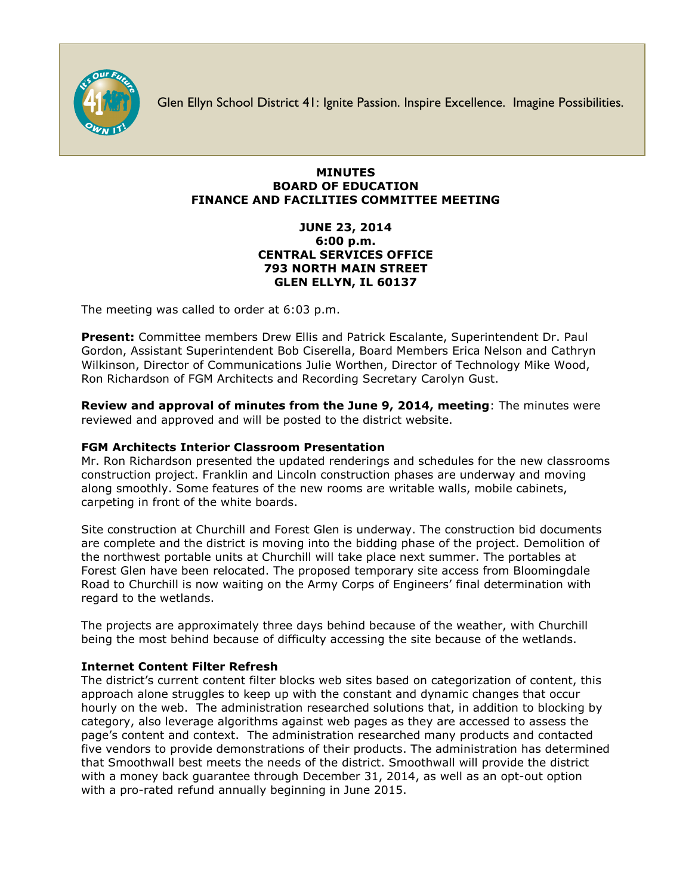

Glen Ellyn School District 41: Ignite Passion. Inspire Excellence. Imagine Possibilities.

## **MINUTES BOARD OF EDUCATION FINANCE AND FACILITIES COMMITTEE MEETING**

# **JUNE 23, 2014 6:00 p.m. CENTRAL SERVICES OFFICE 793 NORTH MAIN STREET GLEN ELLYN, IL 60137**

The meeting was called to order at 6:03 p.m.

**Present:** Committee members Drew Ellis and Patrick Escalante, Superintendent Dr. Paul Gordon, Assistant Superintendent Bob Ciserella, Board Members Erica Nelson and Cathryn Wilkinson, Director of Communications Julie Worthen, Director of Technology Mike Wood, Ron Richardson of FGM Architects and Recording Secretary Carolyn Gust.

**Review and approval of minutes from the June 9, 2014, meeting**: The minutes were reviewed and approved and will be posted to the district website.

# **FGM Architects Interior Classroom Presentation**

Mr. Ron Richardson presented the updated renderings and schedules for the new classrooms construction project. Franklin and Lincoln construction phases are underway and moving along smoothly. Some features of the new rooms are writable walls, mobile cabinets, carpeting in front of the white boards.

Site construction at Churchill and Forest Glen is underway. The construction bid documents are complete and the district is moving into the bidding phase of the project. Demolition of the northwest portable units at Churchill will take place next summer. The portables at Forest Glen have been relocated. The proposed temporary site access from Bloomingdale Road to Churchill is now waiting on the Army Corps of Engineers' final determination with regard to the wetlands.

The projects are approximately three days behind because of the weather, with Churchill being the most behind because of difficulty accessing the site because of the wetlands.

### **Internet Content Filter Refresh**

The district's current content filter blocks web sites based on categorization of content, this approach alone struggles to keep up with the constant and dynamic changes that occur hourly on the web. The administration researched solutions that, in addition to blocking by category, also leverage algorithms against web pages as they are accessed to assess the page's content and context. The administration researched many products and contacted five vendors to provide demonstrations of their products. The administration has determined that Smoothwall best meets the needs of the district. Smoothwall will provide the district with a money back guarantee through December 31, 2014, as well as an opt-out option with a pro-rated refund annually beginning in June 2015.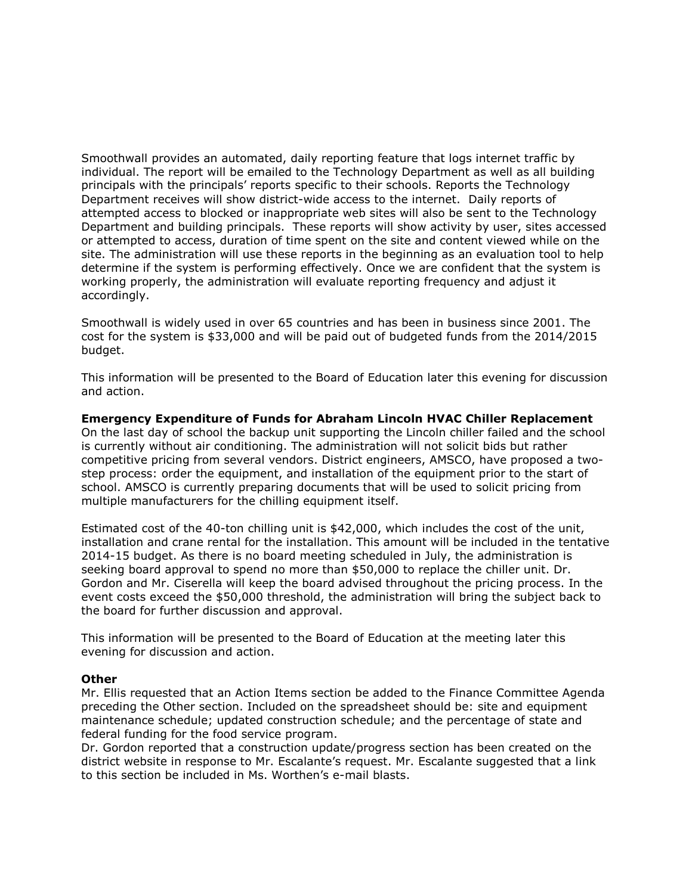Smoothwall provides an automated, daily reporting feature that logs internet traffic by individual. The report will be emailed to the Technology Department as well as all building principals with the principals' reports specific to their schools. Reports the Technology Department receives will show district-wide access to the internet. Daily reports of attempted access to blocked or inappropriate web sites will also be sent to the Technology Department and building principals. These reports will show activity by user, sites accessed or attempted to access, duration of time spent on the site and content viewed while on the site. The administration will use these reports in the beginning as an evaluation tool to help determine if the system is performing effectively. Once we are confident that the system is working properly, the administration will evaluate reporting frequency and adjust it accordingly.

Smoothwall is widely used in over 65 countries and has been in business since 2001. The cost for the system is \$33,000 and will be paid out of budgeted funds from the 2014/2015 budget.

This information will be presented to the Board of Education later this evening for discussion and action.

**Emergency Expenditure of Funds for Abraham Lincoln HVAC Chiller Replacement**  On the last day of school the backup unit supporting the Lincoln chiller failed and the school is currently without air conditioning. The administration will not solicit bids but rather competitive pricing from several vendors. District engineers, AMSCO, have proposed a twostep process: order the equipment, and installation of the equipment prior to the start of school. AMSCO is currently preparing documents that will be used to solicit pricing from multiple manufacturers for the chilling equipment itself.

Estimated cost of the 40-ton chilling unit is \$42,000, which includes the cost of the unit, installation and crane rental for the installation. This amount will be included in the tentative 2014-15 budget. As there is no board meeting scheduled in July, the administration is seeking board approval to spend no more than \$50,000 to replace the chiller unit. Dr. Gordon and Mr. Ciserella will keep the board advised throughout the pricing process. In the event costs exceed the \$50,000 threshold, the administration will bring the subject back to the board for further discussion and approval.

This information will be presented to the Board of Education at the meeting later this evening for discussion and action.

#### **Other**

Mr. Ellis requested that an Action Items section be added to the Finance Committee Agenda preceding the Other section. Included on the spreadsheet should be: site and equipment maintenance schedule; updated construction schedule; and the percentage of state and federal funding for the food service program.

Dr. Gordon reported that a construction update/progress section has been created on the district website in response to Mr. Escalante's request. Mr. Escalante suggested that a link to this section be included in Ms. Worthen's e-mail blasts.